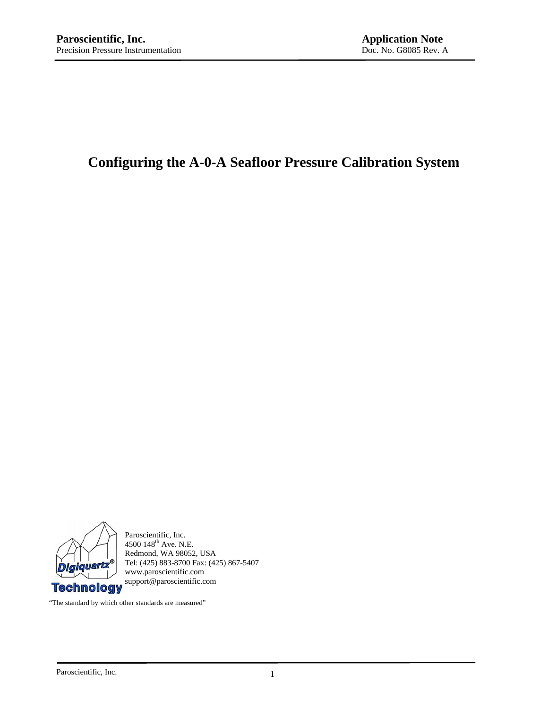# **Configuring the A-0-A Seafloor Pressure Calibration System**



Paroscientific, Inc. 4500 148<sup>th</sup> Ave. N.E. Redmond, WA 98052, USA Tel: (425) 883-8700 Fax: (425) 867-5407 www.paroscientific.com support@paroscientific.com

"The standard by which other standards are measured"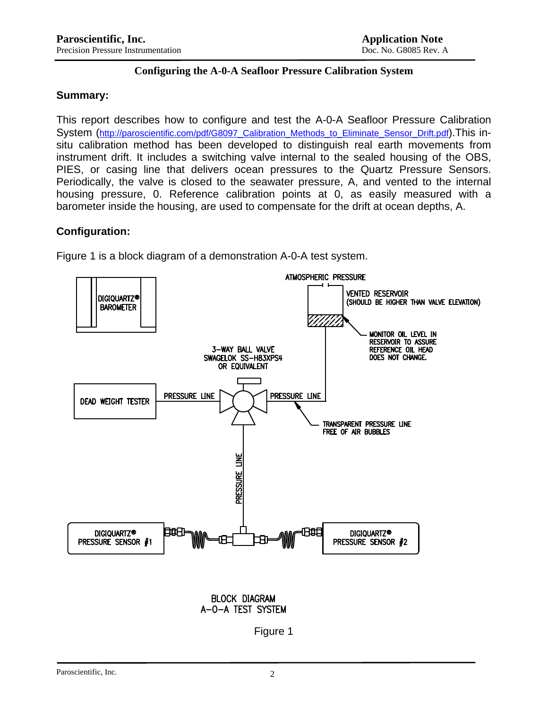## **Configuring the A-0-A Seafloor Pressure Calibration System**

#### **Summary:**

This report describes how to configure and test the A-0-A Seafloor Pressure Calibration System [\(http://paroscientific.com/pdf/G8097\\_Calibration\\_Methods\\_to\\_Eliminate\\_Sensor\\_Drift.pdf](http://paroscientific.com/pdf/G8097_Calibration_Methods_to_Eliminate_Sensor_Drift.pdf)).This insitu calibration method has been developed to distinguish real earth movements from instrument drift. It includes a switching valve internal to the sealed housing of the OBS, PIES, or casing line that delivers ocean pressures to the Quartz Pressure Sensors. Periodically, the valve is closed to the seawater pressure, A, and vented to the internal housing pressure, 0. Reference calibration points at 0, as easily measured with a barometer inside the housing, are used to compensate for the drift at ocean depths, A.

## **Configuration:**

Figure 1 is a block diagram of a demonstration A-0-A test system.



**BLOCK DIAGRAM** A-O-A TEST SYSTEM

Figure 1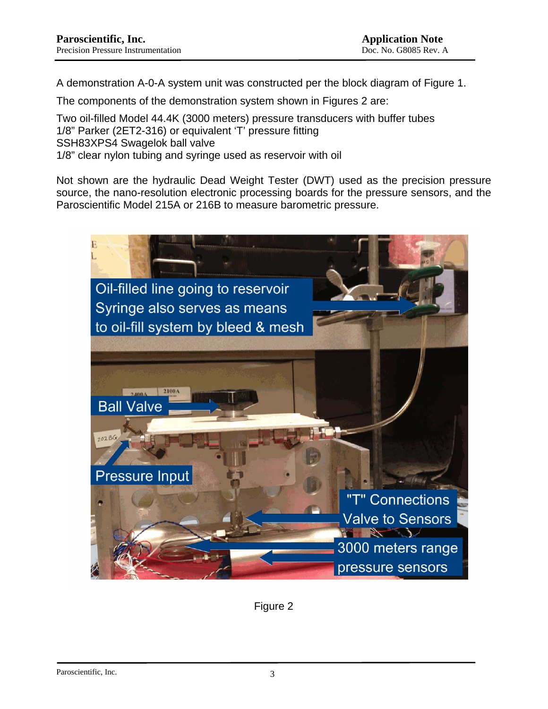A demonstration A-0-A system unit was constructed per the block diagram of Figure 1.

The components of the demonstration system shown in Figures 2 are:

Two oil-filled Model 44.4K (3000 meters) pressure transducers with buffer tubes 1/8" Parker (2ET2-316) or equivalent 'T' pressure fitting SSH83XPS4 Swagelok ball valve 1/8" clear nylon tubing and syringe used as reservoir with oil

Not shown are the hydraulic Dead Weight Tester (DWT) used as the precision pressure source, the nano-resolution electronic processing boards for the pressure sensors, and the Paroscientific Model 215A or 216B to measure barometric pressure.



Figure 2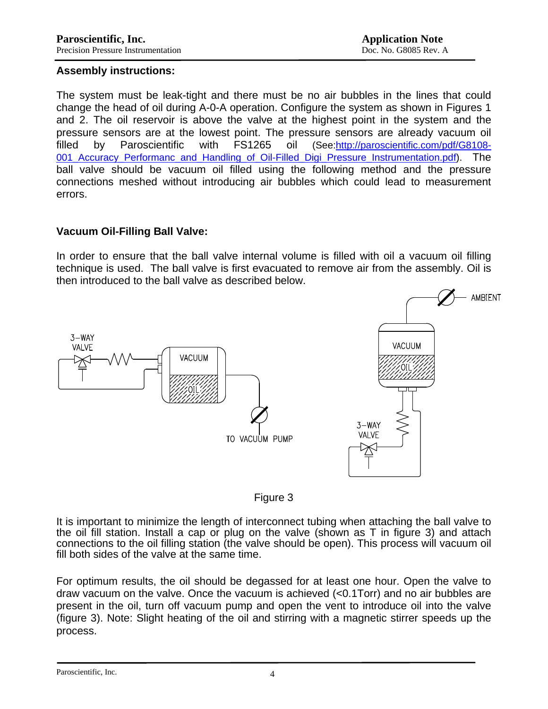#### **Assembly instructions:**

The system must be leak-tight and there must be no air bubbles in the lines that could change the head of oil during A-0-A operation. Configure the system as shown in Figures 1 and 2. The oil reservoir is above the valve at the highest point in the system and the pressure sensors are at the lowest point. The pressure sensors are already vacuum oil filled by Paroscientific with FS1265 oil (See[:http://paroscientific.com/pdf/G8108-](http://paroscientific.com/pdf/G8108-001_Accuracy_Performanc_and_Handling_of_Oil-Filled_Digi_Pressure_Instrumentation.pdf) [001\\_Accuracy\\_Performanc\\_and\\_Handling\\_of\\_Oil-Filled\\_Digi\\_Pressure\\_Instrumentation.pdf\)](http://paroscientific.com/pdf/G8108-001_Accuracy_Performanc_and_Handling_of_Oil-Filled_Digi_Pressure_Instrumentation.pdf). The ball valve should be vacuum oil filled using the following method and the pressure connections meshed without introducing air bubbles which could lead to measurement errors.

## **Vacuum Oil-Filling Ball Valve:**

In order to ensure that the ball valve internal volume is filled with oil a vacuum oil filling technique is used. The ball valve is first evacuated to remove air from the assembly. Oil is then introduced to the ball valve as described below.





It is important to minimize the length of interconnect tubing when attaching the ball valve to the oil fill station. Install a cap or plug on the valve (shown as T in figure 3) and attach connections to the oil filling station (the valve should be open). This process will vacuum oil fill both sides of the valve at the same time.

For optimum results, the oil should be degassed for at least one hour. Open the valve to draw vacuum on the valve. Once the vacuum is achieved (<0.1Torr) and no air bubbles are present in the oil, turn off vacuum pump and open the vent to introduce oil into the valve (figure 3). Note: Slight heating of the oil and stirring with a magnetic stirrer speeds up the process.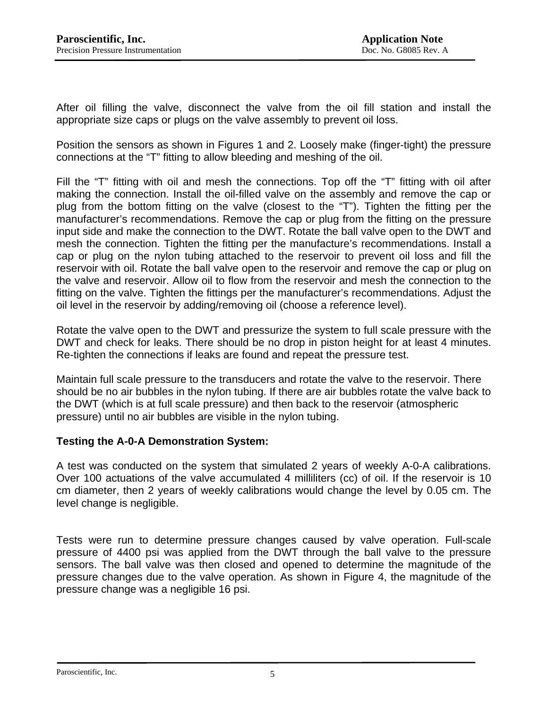After oil filling the valve, disconnect the valve from the oil fill station and install the appropriate size caps or plugs on the valve assembly to prevent oil loss.

Position the sensors as shown in Figures 1 and 2. Loosely make (finger-tight) the pressure connections at the "T" fitting to allow bleeding and meshing of the oil.

Fill the "T" fitting with oil and mesh the connections. Top off the "T" fitting with oil after making the connection. Install the oil-filled valve on the assembly and remove the cap or plug from the bottom fitting on the valve (closest to the "T"). Tighten the fitting per the manufacturer's recommendations. Remove the cap or plug from the fitting on the pressure input side and make the connection to the DWT. Rotate the ball valve open to the DWT and mesh the connection. Tighten the fitting per the manufacture's recommendations. Install a cap or plug on the nylon tubing attached to the reservoir to prevent oil loss and fill the reservoir with oil. Rotate the ball valve open to the reservoir and remove the cap or plug on the valve and reservoir. Allow oil to flow from the reservoir and mesh the connection to the fitting on the valve. Tighten the fittings per the manufacturer's recommendations. Adjust the oil level in the reservoir by adding/removing oil (choose a reference level).

Rotate the valve open to the DWT and pressurize the system to full scale pressure with the DWT and check for leaks. There should be no drop in piston height for at least 4 minutes. Re-tighten the connections if leaks are found and repeat the pressure test.

Maintain full scale pressure to the transducers and rotate the valve to the reservoir. There should be no air bubbles in the nylon tubing. If there are air bubbles rotate the valve back to the DWT (which is at full scale pressure) and then back to the reservoir (atmospheric pressure) until no air bubbles are visible in the nylon tubing.

# **Testing the A-0-A Demonstration System:**

A test was conducted on the system that simulated 2 years of weekly A-0-A calibrations. Over 100 actuations of the valve accumulated 4 milliliters (cc) of oil. If the reservoir is 10 cm diameter, then 2 years of weekly calibrations would change the level by 0.05 cm. The level change is negligible.

Tests were run to determine pressure changes caused by valve operation. Full-scale pressure of 4400 psi was applied from the DWT through the ball valve to the pressure sensors. The ball valve was then closed and opened to determine the magnitude of the pressure changes due to the valve operation. As shown in Figure 4, the magnitude of the pressure change was a negligible 16 psi.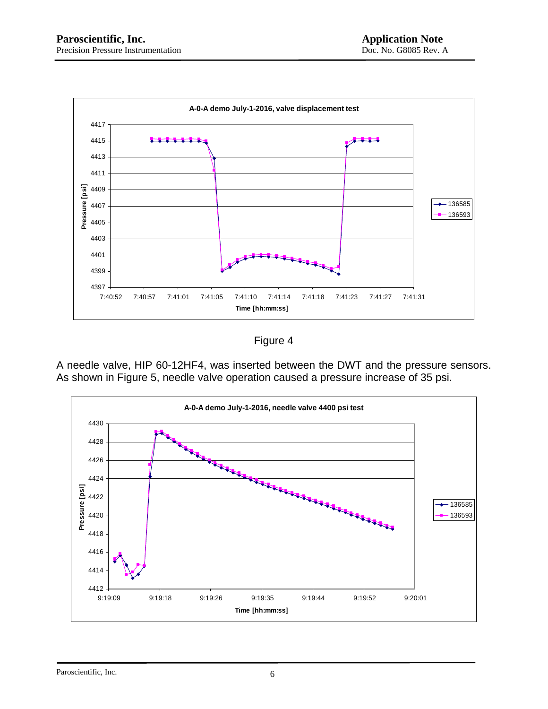

Figure 4

A needle valve, HIP 60-12HF4, was inserted between the DWT and the pressure sensors. As shown in Figure 5, needle valve operation caused a pressure increase of 35 psi.

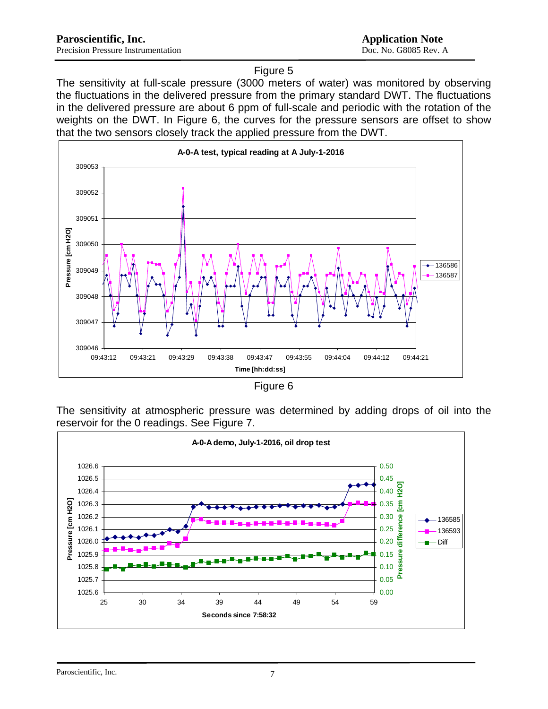#### Figure 5

The sensitivity at full-scale pressure (3000 meters of water) was monitored by observing the fluctuations in the delivered pressure from the primary standard DWT. The fluctuations in the delivered pressure are about 6 ppm of full-scale and periodic with the rotation of the weights on the DWT. In Figure 6, the curves for the pressure sensors are offset to show that the two sensors closely track the applied pressure from the DWT.



|  | iaure |  |
|--|-------|--|
|  |       |  |

The sensitivity at atmospheric pressure was determined by adding drops of oil into the reservoir for the 0 readings. See Figure 7.